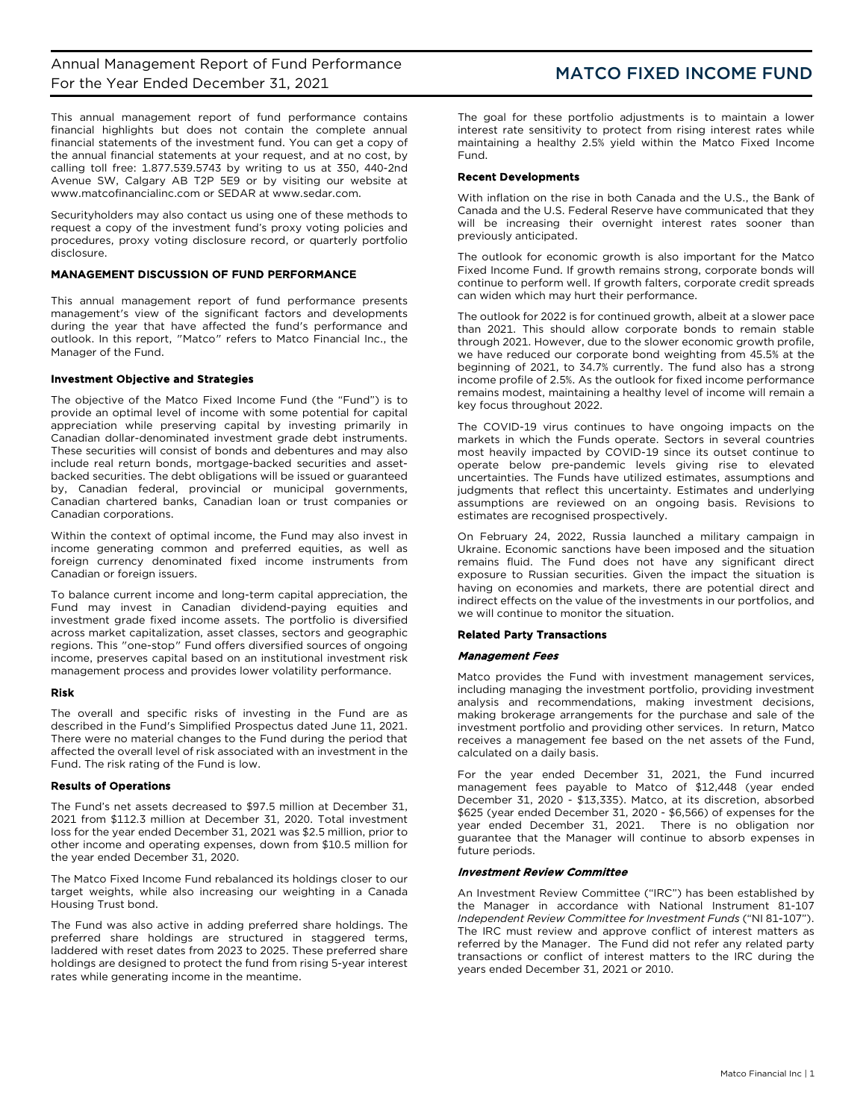This annual management report of fund performance contains financial highlights but does not contain the complete annual financial statements of the investment fund. You can get a copy of the annual financial statements at your request, and at no cost, by calling toll free: 1.877.539.5743 by writing to us at 350, 440-2nd Avenue SW, Calgary AB T2P 5E9 or by visiting our website at [www.matcofinancialinc.com](http://www.matcofinancialinc.com/) or SEDAR at www.sedar.com.

Securityholders may also contact us using one of these methods to request a copy of the investment fund's proxy voting policies and procedures, proxy voting disclosure record, or quarterly portfolio disclosure.

## MANAGEMENT DISCUSSION OF FUND PERFORMANCE

This annual management report of fund performance presents management's view of the significant factors and developments during the year that have affected the fund's performance and outlook. In this report, "Matco" refers to Matco Financial Inc., the Manager of the Fund.

## Investment Objective and Strategies

The objective of the Matco Fixed Income Fund (the "Fund") is to provide an optimal level of income with some potential for capital appreciation while preserving capital by investing primarily in Canadian dollar-denominated investment grade debt instruments. These securities will consist of bonds and debentures and may also include real return bonds, mortgage-backed securities and assetbacked securities. The debt obligations will be issued or guaranteed by, Canadian federal, provincial or municipal governments, Canadian chartered banks, Canadian loan or trust companies or Canadian corporations.

Within the context of optimal income, the Fund may also invest in income generating common and preferred equities, as well as foreign currency denominated fixed income instruments from Canadian or foreign issuers.

To balance current income and long-term capital appreciation, the Fund may invest in Canadian dividend-paying equities and investment grade fixed income assets. The portfolio is diversified across market capitalization, asset classes, sectors and geographic regions. This "one-stop" Fund offers diversified sources of ongoing income, preserves capital based on an institutional investment risk management process and provides lower volatility performance.

## Risk

The overall and specific risks of investing in the Fund are as described in the Fund's Simplified Prospectus dated June 11, 2021. There were no material changes to the Fund during the period that affected the overall level of risk associated with an investment in the Fund. The risk rating of the Fund is low.

## Results of Operations

The Fund's net assets decreased to \$97.5 million at December 31, 2021 from \$112.3 million at December 31, 2020. Total investment loss for the year ended December 31, 2021 was \$2.5 million, prior to other income and operating expenses, down from \$10.5 million for the year ended December 31, 2020.

The Matco Fixed Income Fund rebalanced its holdings closer to our target weights, while also increasing our weighting in a Canada Housing Trust bond.

The Fund was also active in adding preferred share holdings. The preferred share holdings are structured in staggered terms, laddered with reset dates from 2023 to 2025. These preferred share holdings are designed to protect the fund from rising 5-year interest rates while generating income in the meantime.

The goal for these portfolio adjustments is to maintain a lower interest rate sensitivity to protect from rising interest rates while maintaining a healthy 2.5% yield within the Matco Fixed Income Fund.

## Recent Developments

With inflation on the rise in both Canada and the U.S., the Bank of Canada and the U.S. Federal Reserve have communicated that they will be increasing their overnight interest rates sooner than previously anticipated.

The outlook for economic growth is also important for the Matco Fixed Income Fund. If growth remains strong, corporate bonds will continue to perform well. If growth falters, corporate credit spreads can widen which may hurt their performance.

The outlook for 2022 is for continued growth, albeit at a slower pace than 2021. This should allow corporate bonds to remain stable through 2021. However, due to the slower economic growth profile, we have reduced our corporate bond weighting from 45.5% at the beginning of 2021, to 34.7% currently. The fund also has a strong income profile of 2.5%. As the outlook for fixed income performance remains modest, maintaining a healthy level of income will remain a key focus throughout 2022.

The COVID-19 virus continues to have ongoing impacts on the markets in which the Funds operate. Sectors in several countries most heavily impacted by COVID-19 since its outset continue to operate below pre-pandemic levels giving rise to elevated uncertainties. The Funds have utilized estimates, assumptions and judgments that reflect this uncertainty. Estimates and underlying assumptions are reviewed on an ongoing basis. Revisions to estimates are recognised prospectively.

On February 24, 2022, Russia launched a military campaign in Ukraine. Economic sanctions have been imposed and the situation remains fluid. The Fund does not have any significant direct exposure to Russian securities. Given the impact the situation is having on economies and markets, there are potential direct and indirect effects on the value of the investments in our portfolios, and we will continue to monitor the situation.

### Related Party Transactions

### Management Fees

Matco provides the Fund with investment management services, including managing the investment portfolio, providing investment analysis and recommendations, making investment decisions, making brokerage arrangements for the purchase and sale of the investment portfolio and providing other services. In return, Matco receives a management fee based on the net assets of the Fund, calculated on a daily basis.

For the year ended December 31, 2021, the Fund incurred management fees payable to Matco of \$12,448 (year ended December 31, 2020 - \$13,335). Matco, at its discretion, absorbed \$625 (year ended December 31, 2020 - \$6,566) of expenses for the year ended December 31, 2021. There is no obligation nor guarantee that the Manager will continue to absorb expenses in future periods.

### Investment Review Committee

An Investment Review Committee ("IRC") has been established by the Manager in accordance with National Instrument 81-107 *Independent Review Committee for Investment Funds* ("NI 81-107"). The IRC must review and approve conflict of interest matters as referred by the Manager. The Fund did not refer any related party transactions or conflict of interest matters to the IRC during the years ended December 31, 2021 or 2010.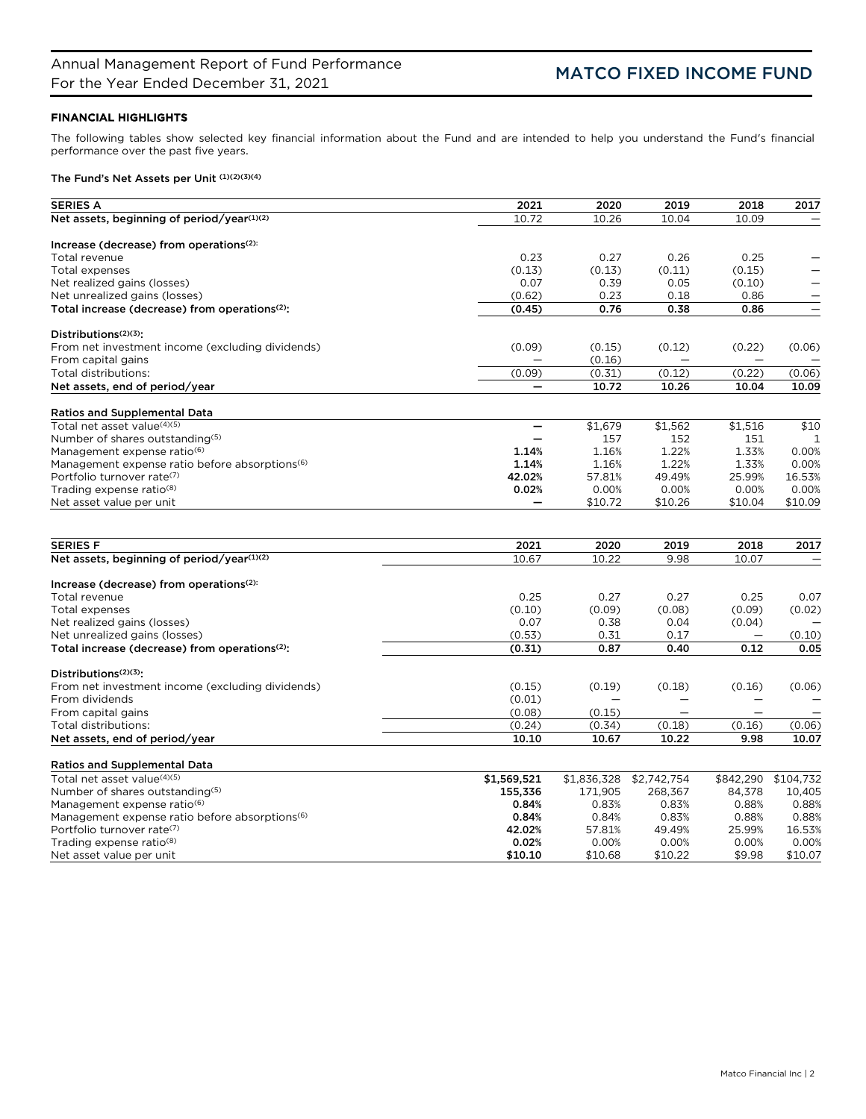# FINANCIAL HIGHLIGHTS

The following tables show selected key financial information about the Fund and are intended to help you understand the Fund's financial performance over the past five years.

# The Fund's Net Assets per Unit (1)(2)(3)(4)

| <b>SERIES A</b>                                                    | 2021                     | 2020        | 2019                     | 2018                     | 2017      |
|--------------------------------------------------------------------|--------------------------|-------------|--------------------------|--------------------------|-----------|
| Net assets, beginning of period/year(1)(2)                         | 10.72                    | 10.26       | 10.04                    | 10.09                    |           |
|                                                                    |                          |             |                          |                          |           |
| Increase (decrease) from operations(2):                            |                          |             |                          |                          |           |
| Total revenue                                                      | 0.23                     | 0.27        | 0.26                     | 0.25                     |           |
| Total expenses                                                     | (0.13)                   | (0.13)      | (0.11)                   | (0.15)                   |           |
| Net realized gains (losses)                                        | 0.07                     | 0.39        | 0.05                     | (0.10)                   | —         |
| Net unrealized gains (losses)                                      | (0.62)                   | 0.23        | 0.18                     | 0.86                     |           |
| Total increase (decrease) from operations <sup>(2)</sup> :         | (0.45)                   | 0.76        | 0.38                     | 0.86                     |           |
| Distributions <sup>(2)(3)</sup> :                                  |                          |             |                          |                          |           |
| From net investment income (excluding dividends)                   | (0.09)                   | (0.15)      | (0.12)                   | (0.22)                   | (0.06)    |
| From capital gains                                                 |                          | (0.16)      |                          |                          |           |
| Total distributions:                                               | (0.09)                   | (0.31)      | (0.12)                   | (0.22)                   | (0.06)    |
| Net assets, end of period/year                                     | $\qquad \qquad -$        | 10.72       | 10.26                    | 10.04                    | 10.09     |
|                                                                    |                          |             |                          |                          |           |
| <b>Ratios and Supplemental Data</b>                                |                          |             |                          |                          |           |
| Total net asset value(4)(5)                                        | $\overline{\phantom{0}}$ | \$1,679     | \$1,562                  | \$1,516                  | \$10      |
| Number of shares outstanding(5)                                    |                          | 157         | 152                      | 151                      | 1         |
| Management expense ratio <sup>(6)</sup>                            | 1.14%                    | 1.16%       | 1.22%                    | 1.33%                    | 0.00%     |
| Management expense ratio before absorptions <sup>(6)</sup>         | 1.14%                    | 1.16%       | 1.22%                    | 1.33%                    | 0.00%     |
| Portfolio turnover rate(7)                                         | 42.02%                   | 57.81%      | 49.49%                   | 25.99%                   | 16.53%    |
| Trading expense ratio <sup>(8)</sup>                               | 0.02%                    | 0.00%       | 0.00%                    | 0.00%                    | 0.00%     |
| Net asset value per unit                                           |                          | \$10.72     | \$10.26                  | \$10.04                  | \$10.09   |
|                                                                    |                          |             |                          |                          |           |
| <b>SERIES F</b>                                                    | 2021                     | 2020        | 2019                     | 2018                     | 2017      |
| Net assets, beginning of period/year(1)(2)                         | 10.67                    | 10.22       | 9.98                     | 10.07                    |           |
|                                                                    |                          |             |                          |                          |           |
| Increase (decrease) from operations(2):                            |                          |             |                          |                          |           |
| Total revenue                                                      | 0.25                     | 0.27        | 0.27                     | 0.25                     | 0.07      |
| Total expenses                                                     | (0.10)                   | (0.09)      | (0.08)                   | (0.09)                   | (0.02)    |
| Net realized gains (losses)                                        | 0.07                     | 0.38        | 0.04                     | (0.04)                   |           |
| Net unrealized gains (losses)                                      | (0.53)                   | 0.31        | 0.17                     |                          | (0.10)    |
| Total increase (decrease) from operations(2):                      | (0.31)                   | 0.87        | 0.40                     | 0.12                     | 0.05      |
|                                                                    |                          |             |                          |                          |           |
| Distributions <sup>(2)(3)</sup> :                                  |                          |             |                          |                          |           |
| From net investment income (excluding dividends)                   | (0.15)                   | (0.19)      | (0.18)                   | (0.16)                   | (0.06)    |
| From dividends                                                     | (0.01)                   |             | $\overline{\phantom{0}}$ | $\overline{\phantom{0}}$ |           |
| From capital gains                                                 | (0.08)                   | (0.15)      | $\overline{\phantom{0}}$ | —                        |           |
| Total distributions:                                               | (0.24)                   | (0.34)      | (0.18)                   | (0.16)                   | (0.06)    |
| Net assets, end of period/year                                     | 10.10                    | 10.67       | 10.22                    | 9.98                     | 10.07     |
|                                                                    |                          |             |                          |                          |           |
| <b>Ratios and Supplemental Data</b><br>Total net asset value(4)(5) | \$1,569,521              | \$1,836,328 | \$2,742,754              | \$842,290                | \$104,732 |
| Number of shares outstanding(5)                                    | 155,336                  | 171,905     | 268,367                  | 84,378                   | 10,405    |
| Management expense ratio <sup>(6)</sup>                            | 0.84%                    | 0.83%       | 0.83%                    | 0.88%                    | 0.88%     |
| Management expense ratio before absorptions <sup>(6)</sup>         | 0.84%                    | 0.84%       | 0.83%                    | 0.88%                    | 0.88%     |
| Portfolio turnover rate(7)                                         | 42.02%                   | 57.81%      | 49.49%                   | 25.99%                   | 16.53%    |
| Trading expense ratio <sup>(8)</sup>                               | 0.02%                    | 0.00%       | 0.00%                    | 0.00%                    | 0.00%     |
| Net asset value per unit                                           | \$10.10                  | \$10.68     | \$10.22                  | \$9.98                   | \$10.07   |
|                                                                    |                          |             |                          |                          |           |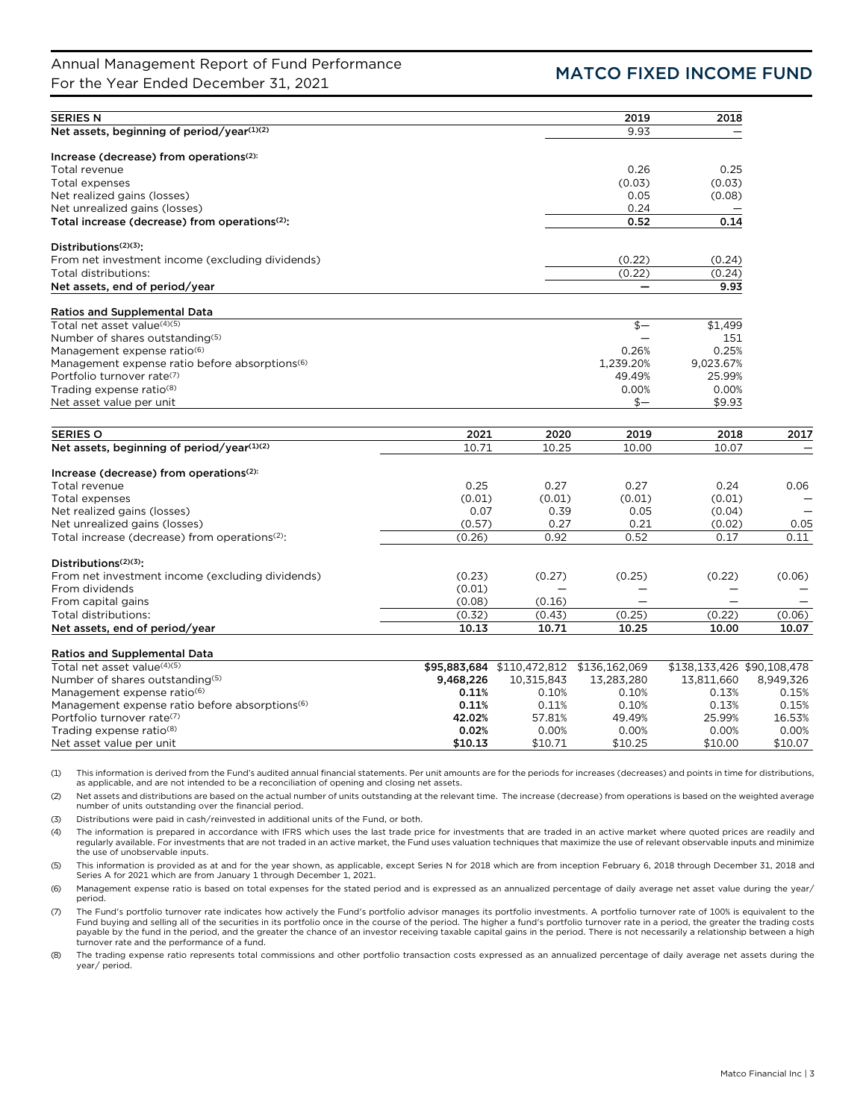# Annual Management Report of Fund Performance Annual Management Report of Fund Performance<br>For the Year Ended December 31, 2021

| <b>SERIES N</b>                                            |           |                            | 2019                     | 2018                       |           |
|------------------------------------------------------------|-----------|----------------------------|--------------------------|----------------------------|-----------|
| Net assets, beginning of period/year(1)(2)                 |           |                            | 9.93                     |                            |           |
| Increase (decrease) from operations <sup>(2):</sup>        |           |                            |                          |                            |           |
| Total revenue                                              |           |                            | 0.26                     | 0.25                       |           |
| Total expenses                                             |           |                            | (0.03)                   | (0.03)                     |           |
| Net realized gains (losses)                                |           |                            | 0.05                     | (0.08)                     |           |
| Net unrealized gains (losses)                              |           |                            | 0.24                     |                            |           |
| Total increase (decrease) from operations(2):              |           |                            | 0.52                     | 0.14                       |           |
| Distributions $(2)(3)$ :                                   |           |                            |                          |                            |           |
| From net investment income (excluding dividends)           |           |                            | (0.22)                   | (0.24)                     |           |
| Total distributions:                                       |           |                            | (0.22)                   | (0.24)                     |           |
| Net assets, end of period/year                             |           |                            | $\overline{\phantom{0}}$ | 9.93                       |           |
| <b>Ratios and Supplemental Data</b>                        |           |                            |                          |                            |           |
| Total net asset value(4)(5)                                |           |                            | $$-$                     | \$1,499                    |           |
| Number of shares outstanding(5)                            |           |                            |                          | 151                        |           |
| Management expense ratio <sup>(6)</sup>                    |           |                            | 0.26%                    | 0.25%                      |           |
| Management expense ratio before absorptions <sup>(6)</sup> |           |                            | 1,239.20%                | 9,023.67%                  |           |
| Portfolio turnover rate(7)                                 |           |                            | 49.49%                   | 25.99%                     |           |
| Trading expense ratio(8)                                   |           |                            | 0.00%                    | 0.00%                      |           |
| Net asset value per unit                                   |           |                            | $s-$                     | \$9.93                     |           |
|                                                            |           |                            |                          |                            |           |
| <b>SERIES O</b>                                            | 2021      | 2020                       | 2019                     | 2018                       | 2017      |
| Net assets, beginning of period/year(1)(2)                 | 10.71     | 10.25                      | 10.00                    | 10.07                      |           |
| Increase (decrease) from operations <sup>(2):</sup>        |           |                            |                          |                            |           |
| Total revenue                                              | 0.25      | 0.27                       | 0.27                     | 0.24                       | 0.06      |
| Total expenses                                             | (0.01)    | (0.01)                     | (0.01)                   | (0.01)                     |           |
| Net realized gains (losses)                                | 0.07      | 0.39                       | 0.05                     | (0.04)                     |           |
| Net unrealized gains (losses)                              | (0.57)    | 0.27                       | 0.21                     | (0.02)                     | 0.05      |
| Total increase (decrease) from operations <sup>(2)</sup> : | (0.26)    | 0.92                       | 0.52                     | 0.17                       | 0.11      |
| Distributions <sup>(2)(3)</sup> :                          |           |                            |                          |                            |           |
| From net investment income (excluding dividends)           | (0.23)    | (0.27)                     | (0.25)                   | (0.22)                     | (0.06)    |
| From dividends                                             | (0.01)    |                            |                          |                            |           |
| From capital gains                                         | (0.08)    | (0.16)                     |                          |                            |           |
| Total distributions:                                       | (0.32)    | (0.43)                     | (0.25)                   | (0.22)                     | (0.06)    |
| Net assets, end of period/year                             | 10.13     | 10.71                      | 10.25                    | 10.00                      | 10.07     |
| <b>Ratios and Supplemental Data</b>                        |           |                            |                          |                            |           |
| Total net asset value(4)(5)                                |           | \$95,883,684 \$110,472,812 | \$136,162,069            | \$138,133,426 \$90,108,478 |           |
| Number of shares outstanding(5)                            | 9,468,226 | 10,315,843                 | 13,283,280               | 13,811,660                 | 8,949,326 |
| Management expense ratio <sup>(6)</sup>                    | 0.11%     | 0.10%                      | 0.10%                    | 0.13%                      | 0.15%     |
| Management expense ratio before absorptions <sup>(6)</sup> | 0.11%     | 0.11%                      | 0.10%                    | 0.13%                      | 0.15%     |
| Portfolio turnover rate(7)                                 | 42.02%    | 57.81%                     | 49.49%                   | 25.99%                     | 16.53%    |
| Trading expense ratio <sup>(8)</sup>                       | 0.02%     | 0.00%                      | 0.00%                    | 0.00%                      | 0.00%     |
| Net asset value per unit                                   | \$10.13   | \$10.71                    | \$10.25                  | \$10.00                    | \$10.07   |

(1) This information is derived from the Fund's audited annual financial statements. Per unit amounts are for the periods for increases (decreases) and points in time for distributions, as applicable, and are not intended to be a reconciliation of opening and closing net assets.

(2) Net assets and distributions are based on the actual number of units outstanding at the relevant time. The increase (decrease) from operations is based on the weighted average number of units outstanding over the financial period.

(3) Distributions were paid in cash/reinvested in additional units of the Fund, or both.

(4) The information is prepared in accordance with IFRS which uses the last trade price for investments that are traded in an active market where quoted prices are readily and regularly available. For investments that are not traded in an active market, the Fund uses valuation techniques that maximize the use of relevant observable inputs and minimize the use of unobservable inputs.

(5) This information is provided as at and for the year shown, as applicable, except Series N for 2018 which are from inception February 6, 2018 through December 31, 2018 and Series A for 2021 which are from January 1 through December 1, 2021.

(6) Management expense ratio is based on total expenses for the stated period and is expressed as an annualized percentage of daily average net asset value during the year/ period.

(7) The Fund's portfolio turnover rate indicates how actively the Fund's portfolio advisor manages its portfolio investments. A portfolio turnover rate of 100% is equivalent to the Fund buying and selling all of the securities in its portfolio once in the course of the period. The higher a fund's portfolio turnover rate in a period, the greater the trading costs payable by the fund in the period, and the greater the chance of an investor receiving taxable capital gains in the period. There is not necessarily a relationship between a high turnover rate and the performance of a fund.

(8) The trading expense ratio represents total commissions and other portfolio transaction costs expressed as an annualized percentage of daily average net assets during the year/ period.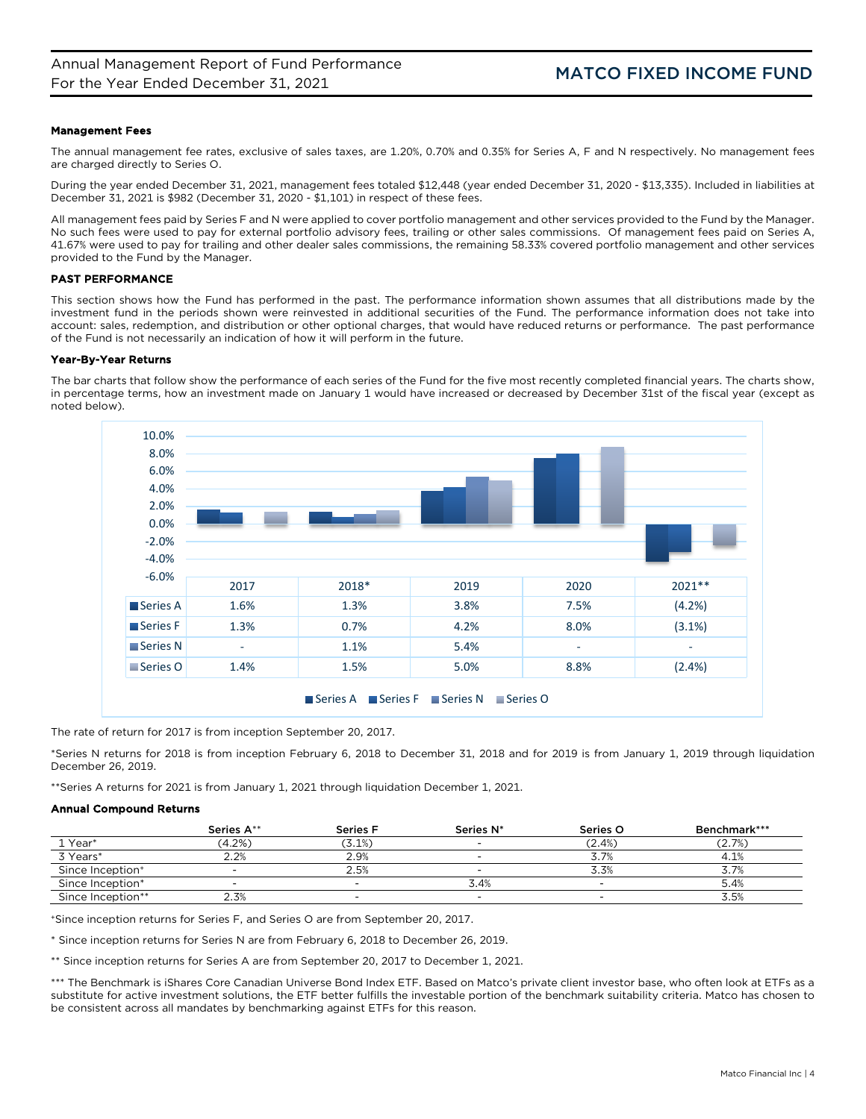## Management Fees

The annual management fee rates, exclusive of sales taxes, are 1.20%, 0.70% and 0.35% for Series A, F and N respectively. No management fees are charged directly to Series O.

During the year ended December 31, 2021, management fees totaled \$12,448 (year ended December 31, 2020 - \$13,335). Included in liabilities at December 31, 2021 is \$982 (December 31, 2020 - \$1,101) in respect of these fees.

All management fees paid by Series F and N were applied to cover portfolio management and other services provided to the Fund by the Manager. No such fees were used to pay for external portfolio advisory fees, trailing or other sales commissions. Of management fees paid on Series A, 41.67% were used to pay for trailing and other dealer sales commissions, the remaining 58.33% covered portfolio management and other services provided to the Fund by the Manager.

## PAST PERFORMANCE

This section shows how the Fund has performed in the past. The performance information shown assumes that all distributions made by the investment fund in the periods shown were reinvested in additional securities of the Fund. The performance information does not take into account: sales, redemption, and distribution or other optional charges, that would have reduced returns or performance. The past performance of the Fund is not necessarily an indication of how it will perform in the future.

## Year-By-Year Returns

The bar charts that follow show the performance of each series of the Fund for the five most recently completed financial years. The charts show, in percentage terms, how an investment made on January 1 would have increased or decreased by December 31st of the fiscal year (except as noted below).



The rate of return for 2017 is from inception September 20, 2017.

\*Series N returns for 2018 is from inception February 6, 2018 to December 31, 2018 and for 2019 is from January 1, 2019 through liquidation December 26, 2019.

\*\*Series A returns for 2021 is from January 1, 2021 through liquidation December 1, 2021.

## Annual Compound Returns

|                              | Series A** | <b>Series F</b> | Series N*                | Series O  | Benchmark*** |
|------------------------------|------------|-----------------|--------------------------|-----------|--------------|
| ⊥ Year*                      | $(4.2\%)$  | $(3.1\%)$       | $\overline{\phantom{0}}$ | $(2.4\%)$ | (2.7%)       |
| 3 Years*                     | 2.2%       | 2.9%            | $\overline{\phantom{a}}$ | 3.7%      | 4.1%         |
| Since Inception <sup>+</sup> | $\sim$     | 2.5%            | $\overline{\phantom{0}}$ | 3.3%      | 3.7%         |
| Since Inception*             | $\sim$     | $\sim$          | 3.4%                     | $\sim$    | 5.4%         |
| Since Inception**            | 2.3%       | $\sim$          | $\sim$                   | $\sim$    | 3.5%         |

+Since inception returns for Series F, and Series O are from September 20, 2017.

\* Since inception returns for Series N are from February 6, 2018 to December 26, 2019.

\*\* Since inception returns for Series A are from September 20, 2017 to December 1, 2021.

\*\*\* The Benchmark is iShares Core Canadian Universe Bond Index ETF. Based on Matco's private client investor base, who often look at ETFs as a substitute for active investment solutions, the ETF better fulfills the investable portion of the benchmark suitability criteria. Matco has chosen to be consistent across all mandates by benchmarking against ETFs for this reason.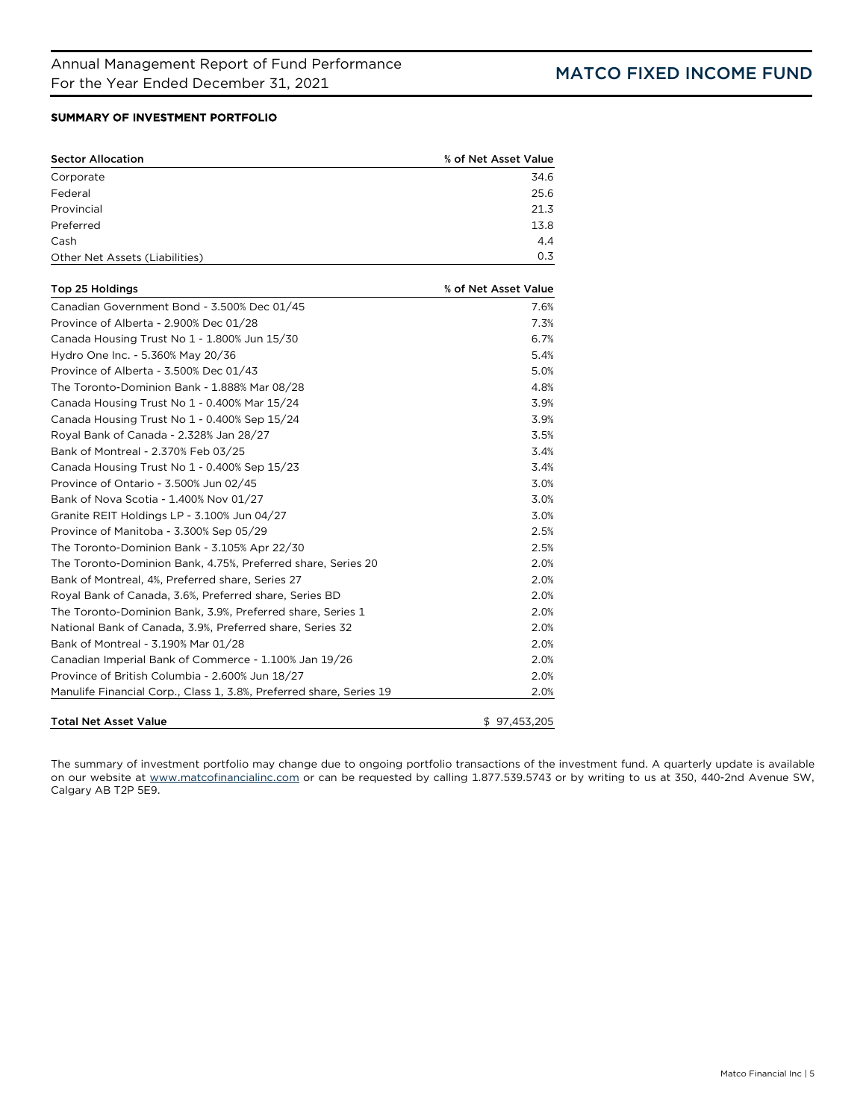# SUMMARY OF INVESTMENT PORTFOLIO

| <b>Sector Allocation</b>                                            | % of Net Asset Value |
|---------------------------------------------------------------------|----------------------|
| Corporate                                                           | 34.6                 |
| Federal                                                             | 25.6                 |
| Provincial                                                          | 21.3                 |
| Preferred                                                           | 13.8                 |
| Cash                                                                | 4.4                  |
| Other Net Assets (Liabilities)                                      | 0.3                  |
| Top 25 Holdings                                                     | % of Net Asset Value |
| Canadian Government Bond - 3.500% Dec 01/45                         | 7.6%                 |
| Province of Alberta - 2.900% Dec 01/28                              | 7.3%                 |
| Canada Housing Trust No 1 - 1.800% Jun 15/30                        | 6.7%                 |
| Hydro One Inc. - 5.360% May 20/36                                   | 5.4%                 |
| Province of Alberta - 3.500% Dec 01/43                              | 5.0%                 |
| The Toronto-Dominion Bank - 1.888% Mar 08/28                        | 4.8%                 |
| Canada Housing Trust No 1 - 0.400% Mar 15/24                        | 3.9%                 |
| Canada Housing Trust No 1 - 0.400% Sep 15/24                        | 3.9%                 |
| Royal Bank of Canada - 2.328% Jan 28/27                             | 3.5%                 |
| Bank of Montreal - 2.370% Feb 03/25                                 | 3.4%                 |
| Canada Housing Trust No 1 - 0.400% Sep 15/23                        | 3.4%                 |
| Province of Ontario - 3.500% Jun 02/45                              | 3.0%                 |
| Bank of Nova Scotia - 1.400% Nov 01/27                              | 3.0%                 |
| Granite REIT Holdings LP - 3.100% Jun 04/27                         | 3.0%                 |
| Province of Manitoba - 3.300% Sep 05/29                             | 2.5%                 |
| The Toronto-Dominion Bank - 3.105% Apr 22/30                        | 2.5%                 |
| The Toronto-Dominion Bank, 4.75%, Preferred share, Series 20        | 2.0%                 |
| Bank of Montreal, 4%, Preferred share, Series 27                    | 2.0%                 |
| Royal Bank of Canada, 3.6%, Preferred share, Series BD              | 2.0%                 |
| The Toronto-Dominion Bank, 3.9%, Preferred share, Series 1          | 2.0%                 |
| National Bank of Canada, 3.9%, Preferred share, Series 32           | 2.0%                 |
| Bank of Montreal - 3.190% Mar 01/28                                 | 2.0%                 |
| Canadian Imperial Bank of Commerce - 1.100% Jan 19/26               | 2.0%                 |
| Province of British Columbia - 2.600% Jun 18/27                     | 2.0%                 |
| Manulife Financial Corp., Class 1, 3.8%, Preferred share, Series 19 | 2.0%                 |
| <b>Total Net Asset Value</b>                                        | \$97,453,205         |

The summary of investment portfolio may change due to ongoing portfolio transactions of the investment fund. A quarterly update is available on our website at [www.matcofinancialinc.com](http://www.matcofinancialinc.com/) or can be requested by calling 1.877.539.5743 or by writing to us at 350, 440-2nd Avenue SW, Calgary AB T2P 5E9.